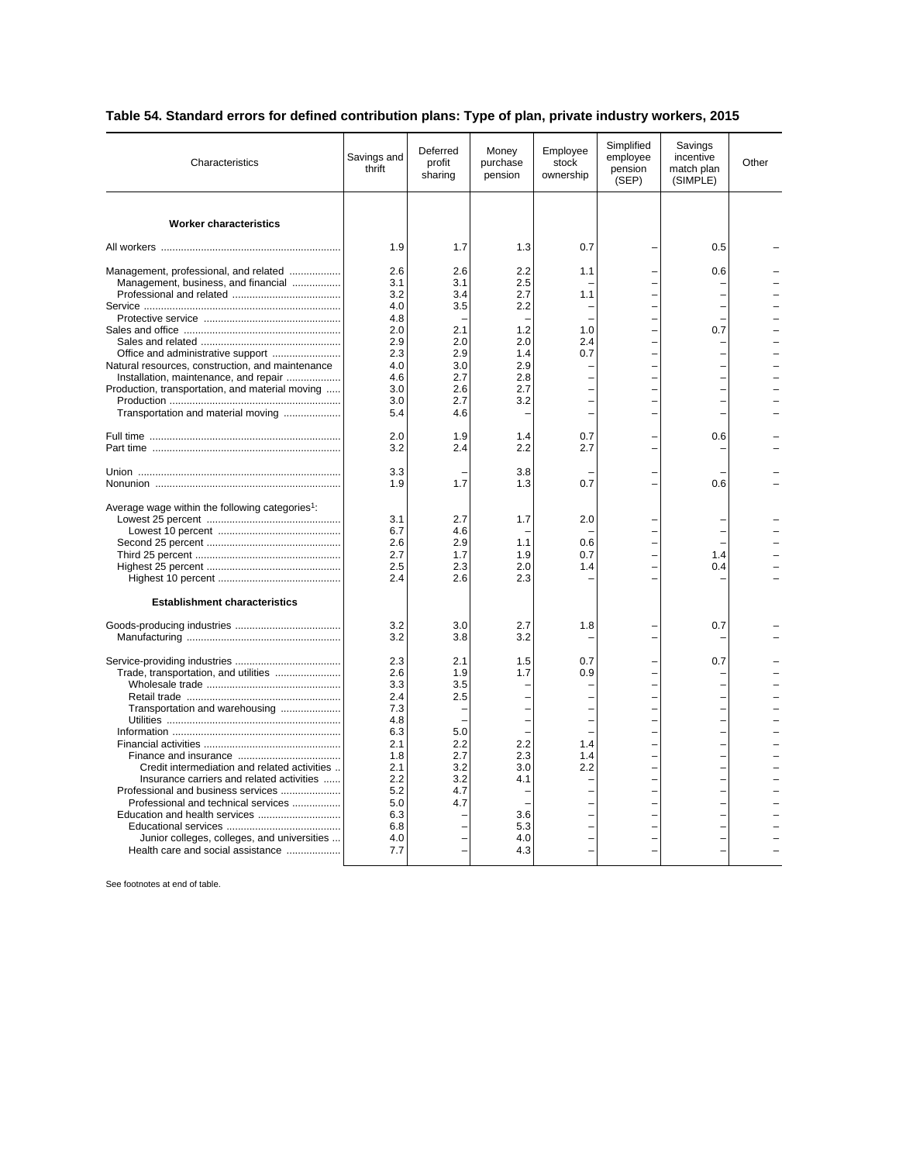## **Table 54. Standard errors for defined contribution plans: Type of plan, private industry workers, 2015**

| Characteristics                                                                                                                                                                                                                                                                              | Savings and<br>thrift                                                                                               | Deferred<br>profit<br>sharing                                             | Money<br>purchase<br>pension                                       | Employee<br>stock<br>ownership  | Simplified<br>employee<br>pension<br>(SEP) | Savings<br>incentive<br>match plan<br>(SIMPLE) | Other |
|----------------------------------------------------------------------------------------------------------------------------------------------------------------------------------------------------------------------------------------------------------------------------------------------|---------------------------------------------------------------------------------------------------------------------|---------------------------------------------------------------------------|--------------------------------------------------------------------|---------------------------------|--------------------------------------------|------------------------------------------------|-------|
| <b>Worker characteristics</b>                                                                                                                                                                                                                                                                |                                                                                                                     |                                                                           |                                                                    |                                 |                                            |                                                |       |
|                                                                                                                                                                                                                                                                                              | 1.9                                                                                                                 | 1.7                                                                       | 1.3                                                                | 0.7                             |                                            | 0.5                                            |       |
| Management, professional, and related<br>Management, business, and financial<br>Office and administrative support<br>Natural resources, construction, and maintenance                                                                                                                        | 2.6<br>3.1<br>3.2<br>4.0<br>4.8<br>2.0<br>2.9<br>2.3<br>4.0                                                         | 2.6<br>3.1<br>3.4<br>3.5<br>2.1<br>2.0<br>2.9<br>3.0                      | 2.2<br>2.5<br>2.7<br>2.2<br>1.2<br>2.0<br>1.4<br>2.9               | 1.1<br>1.1<br>1.0<br>2.4<br>0.7 |                                            | 0.6<br>0.7                                     |       |
| Installation, maintenance, and repair<br>Production, transportation, and material moving<br>Transportation and material moving                                                                                                                                                               | 4.6<br>3.0<br>3.0<br>5.4                                                                                            | 2.7<br>2.6<br>2.7<br>4.6                                                  | 2.8<br>2.7<br>3.2                                                  |                                 |                                            |                                                |       |
|                                                                                                                                                                                                                                                                                              | 2.0<br>3.2                                                                                                          | 1.9<br>2.4                                                                | 1.4<br>2.2                                                         | 0.7<br>2.7                      |                                            | 0.6                                            |       |
|                                                                                                                                                                                                                                                                                              | 3.3<br>1.9                                                                                                          | 1.7                                                                       | 3.8<br>1.3                                                         | 0.7                             |                                            | 0.6                                            |       |
| Average wage within the following categories <sup>1</sup> :<br><b>Establishment characteristics</b>                                                                                                                                                                                          | 3.1<br>6.7<br>2.6<br>2.7<br>2.5<br>2.4                                                                              | 2.7<br>4.6<br>2.9<br>1.7<br>2.3<br>2.6                                    | 1.7<br>1.1<br>1.9<br>2.0<br>2.3                                    | 2.0<br>0.6<br>0.7<br>1.4        |                                            | 1.4<br>0.4                                     |       |
|                                                                                                                                                                                                                                                                                              | 3.2<br>3.2                                                                                                          | 3.0<br>3.8                                                                | 2.7<br>3.2                                                         | 1.8                             |                                            | 0.7                                            |       |
| Transportation and warehousing<br>Credit intermediation and related activities<br>Insurance carriers and related activities<br>Professional and business services<br>Professional and technical services<br>Junior colleges, colleges, and universities<br>Health care and social assistance | 2.3<br>2.6<br>3.3<br>2.4<br>7.3<br>4.8<br>6.3<br>2.1<br>1.8<br>2.1<br>2.2<br>5.2<br>5.0<br>6.3<br>6.8<br>4.0<br>7.7 | 2.1<br>1.9<br>3.5<br>2.5<br>5.0<br>2.2<br>2.7<br>3.2<br>3.2<br>4.7<br>4.7 | 1.5<br>1.7<br>2.2<br>2.3<br>3.0<br>4.1<br>3.6<br>5.3<br>4.0<br>4.3 | 0.7<br>0.9<br>1.4<br>1.4<br>2.2 |                                            | 0.7                                            |       |

See footnotes at end of table.